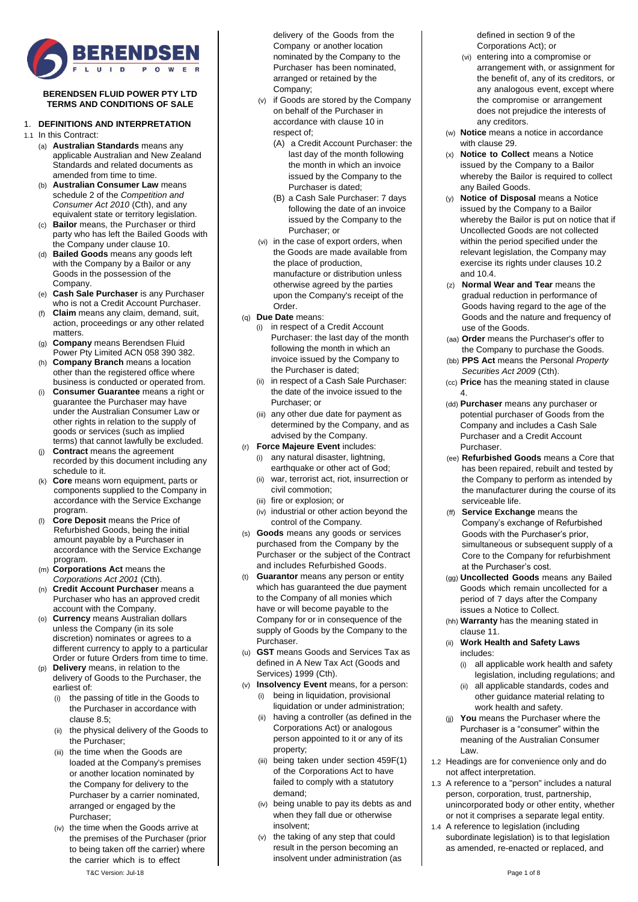

### **BERENDSEN FLUID POWER PTY LTD TERMS AND CONDITIONS OF SALE**

### 1. **DEFINITIONS AND INTERPRETATION**

1.1 In this Contract:

- (a) **Australian Standards** means any applicable Australian and New Zealand Standards and related documents as amended from time to time.
- (b) **Australian Consumer Law** means schedule 2 of the *Competition and Consumer Act 2010* (Cth), and any equivalent state or territory legislation.
- (c) **Bailor** means, the Purchaser or third party who has left the Bailed Goods with the Company under claus[e 10.](#page-3-0)
- (d) **Bailed Goods** means any goods left with the Company by a Bailor or any Goods in the possession of the **Company**
- (e) **Cash Sale Purchaser** is any Purchaser who is not a Credit Account Purchaser.
- (f) **Claim** means any claim, demand, suit, action, proceedings or any other related matters.
- (g) **Company** means Berendsen Fluid Power Pty Limited ACN 058 390 382.
- (h) **Company Branch** means a location other than the registered office where business is conducted or operated from.
- (i) **Consumer Guarantee** means a right or guarantee the Purchaser may have under the Australian Consumer Law or other rights in relation to the supply of goods or services (such as implied terms) that cannot lawfully be excluded.
- (j) **Contract** means the agreement recorded by this document including any schedule to it.
- Core means worn equipment, parts or components supplied to the Company in accordance with the Service Exchange program.
- **Core Deposit** means the Price of Refurbished Goods, being the initial amount payable by a Purchaser in accordance with the Service Exchange program.
- (m) **Corporations Act** means the *Corporations Act 2001* (Cth).
- (n) **Credit Account Purchaser** means a Purchaser who has an approved credit account with the Company.
- (o) **Currency** means Australian dollars unless the Company (in its sole discretion) nominates or agrees to a different currency to apply to a particular Order or future Orders from time to time.
- (p) **Delivery** means, in relation to the delivery of Goods to the Purchaser, the earliest of:
	- (i) the passing of title in the Goods to the Purchaser in accordance with claus[e 8.5;](#page-2-0)
	- (ii) the physical delivery of the Goods to the Purchaser;
	- (iii) the time when the Goods are loaded at the Company's premises or another location nominated by the Company for delivery to the Purchaser by a carrier nominated, arranged or engaged by the Purchaser;
	- (iv) the time when the Goods arrive at the premises of the Purchaser (prior to being taken off the carrier) where the carrier which is to effect

delivery of the Goods from the Company or another location nominated by the Company to the Purchaser has been nominated, arranged or retained by the Company;

- (v) if Goods are stored by the Company on behalf of the Purchaser in accordance with clause [10](#page-3-0) in respect of;
	- (A) a Credit Account Purchaser: the last day of the month following the month in which an invoice issued by the Company to the Purchaser is dated;
	- (B) a Cash Sale Purchaser: 7 days following the date of an invoice issued by the Company to the Purchaser; or
- (vi) in the case of export orders, when the Goods are made available from the place of production, manufacture or distribution unless otherwise agreed by the parties upon the Company's receipt of the Order.
- (q) **Due Date** means:
	- (i) in respect of a Credit Account Purchaser: the last day of the month following the month in which an invoice issued by the Company to the Purchaser is dated;
	- in respect of a Cash Sale Purchaser: the date of the invoice issued to the Purchaser; or
	- (iii) any other due date for payment as determined by the Company, and as advised by the Company.
- (r) **Force Majeure Event** includes:
	- (i) any natural disaster, lightning, earthquake or other act of God;
	- (ii) war, terrorist act, riot, insurrection or civil commotion;
	- (iii) fire or explosion; or
	- (iv) industrial or other action beyond the control of the Company.
- (s) **Goods** means any goods or services purchased from the Company by the Purchaser or the subject of the Contract and includes Refurbished Goods.
- (t) **Guarantor** means any person or entity which has guaranteed the due payment to the Company of all monies which have or will become payable to the Company for or in consequence of the supply of Goods by the Company to the Purchaser.
- (u) **GST** means Goods and Services Tax as defined in A New Tax Act (Goods and Services) 1999 (Cth).
- (v) **Insolvency Event** means, for a person: (i) being in liquidation, provisional
	- liquidation or under administration; (ii) having a controller (as defined in the Corporations Act) or analogous person appointed to it or any of its property;
	- (iii) being taken under section 459F(1) of the Corporations Act to have failed to comply with a statutory demand;
	- (iv) being unable to pay its debts as and when they fall due or otherwise insolvent;
	- (v) the taking of any step that could result in the person becoming an insolvent under administration (as

defined in section 9 of the Corporations Act); or

- (vi) entering into a compromise or arrangement with, or assignment for the benefit of, any of its creditors, or any analogous event, except where the compromise or arrangement does not prejudice the interests of any creditors.
- (w) **Notice** means a notice in accordance with clause [29.](#page-6-0)
- (x) **Notice to Collect** means a Notice issued by the Company to a Bailor whereby the Bailor is required to collect any Bailed Goods.
- **Notice of Disposal** means a Notice issued by the Company to a Bailor whereby the Bailor is put on notice that if Uncollected Goods are not collected within the period specified under the relevant legislation, the Company may exercise its rights under clauses [10.2](#page-3-1) an[d 10.4.](#page-3-2)
- (z) **Normal Wear and Tear** means the gradual reduction in performance of Goods having regard to the age of the Goods and the nature and frequency of use of the Goods.
- (aa) **Order** means the Purchaser's offer to the Company to purchase the Goods.
- (bb) **PPS Act** means the Personal *Property Securities Act 2009* (Cth).
- (cc) **Price** has the meaning stated in clause [4.](#page-1-0)
- (dd) **Purchaser** means any purchaser or potential purchaser of Goods from the Company and includes a Cash Sale Purchaser and a Credit Account Purchaser.
- (ee) **Refurbished Goods** means a Core that has been repaired, rebuilt and tested by the Company to perform as intended by the manufacturer during the course of its serviceable life.
- (ff) **Service Exchange** means the Company's exchange of Refurbished Goods with the Purchaser's prior, simultaneous or subsequent supply of a Core to the Company for refurbishment at the Purchaser's cost.
- (gg) **Uncollected Goods** means any Bailed Goods which remain uncollected for a period of 7 days after the Company issues a Notice to Collect.
- (hh) **Warranty** has the meaning stated in claus[e 11.](#page-4-0)
- (ii) **Work Health and Safety Laws** includes:
	- (i) all applicable work health and safety legislation, including regulations; and
	- (ii) all applicable standards, codes and other guidance material relating to work health and safety.
- (jj) **You** means the Purchaser where the Purchaser is a "consumer" within the meaning of the Australian Consumer Law.
- 1.2 Headings are for convenience only and do not affect interpretation.
- 1.3 A reference to a "person" includes a natural person, corporation, trust, partnership, unincorporated body or other entity, whether or not it comprises a separate legal entity.
- 1.4 A reference to legislation (including subordinate legislation) is to that legislation as amended, re-enacted or replaced, and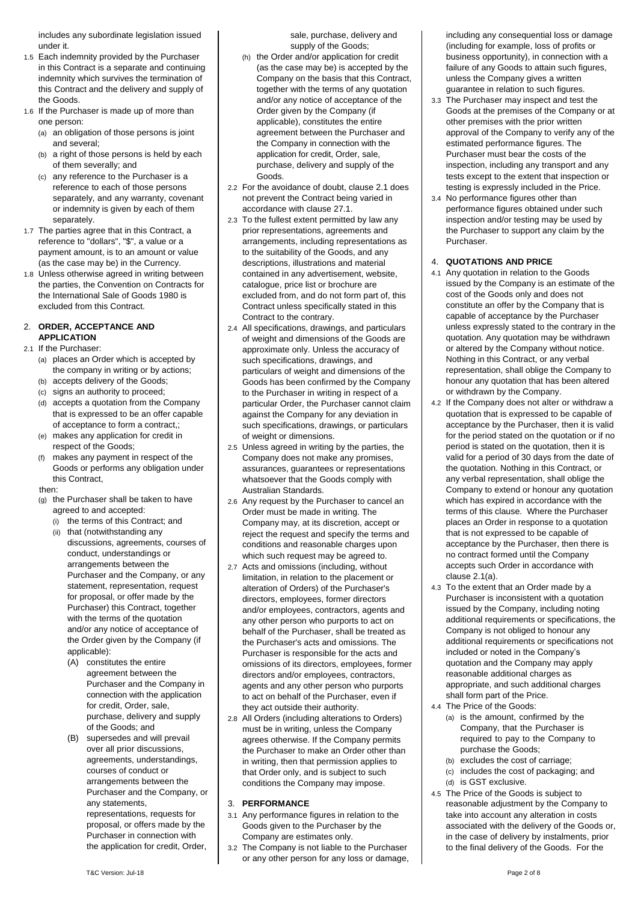includes any subordinate legislation issued under it.

- 1.5 Each indemnity provided by the Purchaser in this Contract is a separate and continuing indemnity which survives the termination of this Contract and the delivery and supply of the Goods.
- 1.6 If the Purchaser is made up of more than one person:
	- (a) an obligation of those persons is joint and several;
	- (b) a right of those persons is held by each of them severally; and
	- (c) any reference to the Purchaser is a reference to each of those persons separately, and any warranty, covenant or indemnity is given by each of them separately.
- 1.7 The parties agree that in this Contract, a reference to "dollars", "\$", a value or a payment amount, is to an amount or value (as the case may be) in the Currency.
- 1.8 Unless otherwise agreed in writing between the parties, the Convention on Contracts for the International Sale of Goods 1980 is excluded from this Contract.

## 2. **ORDER, ACCEPTANCE AND APPLICATION**

## <span id="page-1-2"></span><span id="page-1-1"></span>2.1 If the Purchaser:

- (a) places an Order which is accepted by the company in writing or by actions;
- (b) accepts delivery of the Goods;
- (c) signs an authority to proceed;
- (d) accepts a quotation from the Company that is expressed to be an offer capable of acceptance to form a contract,;
- (e) makes any application for credit in respect of the Goods;
- (f) makes any payment in respect of the Goods or performs any obligation under this Contract,

#### then:

- (g) the Purchaser shall be taken to have agreed to and accepted:
	- (i) the terms of this Contract; and
	- (ii) that (notwithstanding any discussions, agreements, courses of conduct, understandings or arrangements between the Purchaser and the Company, or any statement, representation, request for proposal, or offer made by the Purchaser) this Contract, together with the terms of the quotation and/or any notice of acceptance of the Order given by the Company (if applicable):
		- (A) constitutes the entire agreement between the Purchaser and the Company in connection with the application for credit, Order, sale, purchase, delivery and supply of the Goods; and
		- (B) supersedes and will prevail over all prior discussions, agreements, understandings, courses of conduct or arrangements between the Purchaser and the Company, or any statements, representations, requests for proposal, or offers made by the Purchaser in connection with the application for credit, Order,

sale, purchase, delivery and supply of the Goods;

- (h) the Order and/or application for credit (as the case may be) is accepted by the Company on the basis that this Contract, together with the terms of any quotation and/or any notice of acceptance of the Order given by the Company (if applicable), constitutes the entire agreement between the Purchaser and the Company in connection with the application for credit, Order, sale, purchase, delivery and supply of the Goods.
- 2.2 For the avoidance of doubt, clause [2.1](#page-1-1) does not prevent the Contract being varied in accordance with claus[e 27.1.](#page-6-1)
- 2.3 To the fullest extent permitted by law any prior representations, agreements and arrangements, including representations as to the suitability of the Goods, and any descriptions, illustrations and material contained in any advertisement, website, catalogue, price list or brochure are excluded from, and do not form part of, this Contract unless specifically stated in this Contract to the contrary.
- 2.4 All specifications, drawings, and particulars of weight and dimensions of the Goods are approximate only. Unless the accuracy of such specifications, drawings, and particulars of weight and dimensions of the Goods has been confirmed by the Company to the Purchaser in writing in respect of a particular Order, the Purchaser cannot claim against the Company for any deviation in such specifications, drawings, or particulars of weight or dimensions.
- 2.5 Unless agreed in writing by the parties, the Company does not make any promises, assurances, guarantees or representations whatsoever that the Goods comply with Australian Standards.
- 2.6 Any request by the Purchaser to cancel an Order must be made in writing. The Company may, at its discretion, accept or reject the request and specify the terms and conditions and reasonable charges upon which such request may be agreed to.
- 2.7 Acts and omissions (including, without limitation, in relation to the placement or alteration of Orders) of the Purchaser's directors, employees, former directors and/or employees, contractors, agents and any other person who purports to act on behalf of the Purchaser, shall be treated as the Purchaser's acts and omissions. The Purchaser is responsible for the acts and omissions of its directors, employees, former directors and/or employees, contractors, agents and any other person who purports to act on behalf of the Purchaser, even if they act outside their authority.
- 2.8 All Orders (including alterations to Orders) must be in writing, unless the Company agrees otherwise. If the Company permits the Purchaser to make an Order other than in writing, then that permission applies to that Order only, and is subject to such conditions the Company may impose.

## 3. **PERFORMANCE**

- 3.1 Any performance figures in relation to the Goods given to the Purchaser by the Company are estimates only.
- 3.2 The Company is not liable to the Purchaser or any other person for any loss or damage,

including any consequential loss or damage (including for example, loss of profits or business opportunity), in connection with a failure of any Goods to attain such figures, unless the Company gives a written guarantee in relation to such figures.

- 3.3 The Purchaser may inspect and test the Goods at the premises of the Company or at other premises with the prior written approval of the Company to verify any of the estimated performance figures. The Purchaser must bear the costs of the inspection, including any transport and any tests except to the extent that inspection or testing is expressly included in the Price.
- 3.4 No performance figures other than performance figures obtained under such inspection and/or testing may be used by the Purchaser to support any claim by the Purchaser.

## <span id="page-1-0"></span>4. **QUOTATIONS AND PRICE**

- 4.1 Any quotation in relation to the Goods issued by the Company is an estimate of the cost of the Goods only and does not constitute an offer by the Company that is capable of acceptance by the Purchaser unless expressly stated to the contrary in the quotation. Any quotation may be withdrawn or altered by the Company without notice. Nothing in this Contract, or any verbal representation, shall oblige the Company to honour any quotation that has been altered or withdrawn by the Company.
- 4.2 If the Company does not alter or withdraw a quotation that is expressed to be capable of acceptance by the Purchaser, then it is valid for the period stated on the quotation or if no period is stated on the quotation, then it is valid for a period of 30 days from the date of the quotation. Nothing in this Contract, or any verbal representation, shall oblige the Company to extend or honour any quotation which has expired in accordance with the terms of this clause. Where the Purchaser places an Order in response to a quotation that is not expressed to be capable of acceptance by the Purchaser, then there is no contract formed until the Company accepts such Order in accordance with claus[e 2.1\(a\).](#page-1-2)
- 4.3 To the extent that an Order made by a Purchaser is inconsistent with a quotation issued by the Company, including noting additional requirements or specifications, the Company is not obliged to honour any additional requirements or specifications not included or noted in the Company's quotation and the Company may apply reasonable additional charges as appropriate, and such additional charges shall form part of the Price.
- 4.4 The Price of the Goods:
	- (a) is the amount, confirmed by the Company, that the Purchaser is required to pay to the Company to purchase the Goods;
	- (b) excludes the cost of carriage;
	- (c) includes the cost of packaging; and
	- (d) is GST exclusive.
- <span id="page-1-3"></span>4.5 The Price of the Goods is subject to reasonable adjustment by the Company to take into account any alteration in costs associated with the delivery of the Goods or, in the case of delivery by instalments, prior to the final delivery of the Goods. For the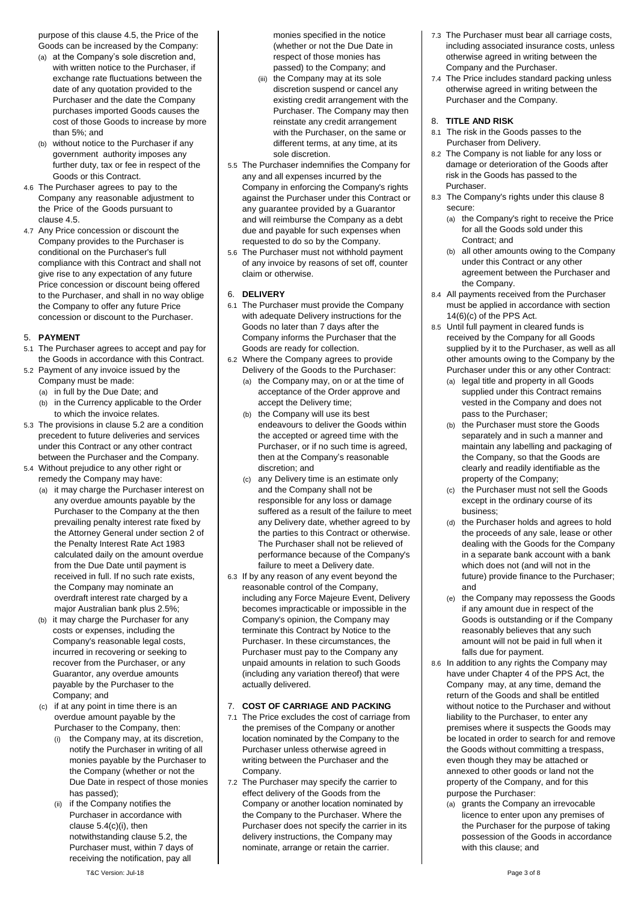purpose of this clause [4.5,](#page-1-3) the Price of the Goods can be increased by the Company:

- (a) at the Company's sole discretion and, with written notice to the Purchaser, if exchange rate fluctuations between the date of any quotation provided to the Purchaser and the date the Company purchases imported Goods causes the cost of those Goods to increase by more than 5%; and
- (b) without notice to the Purchaser if any government authority imposes any further duty, tax or fee in respect of the Goods or this Contract.
- 4.6 The Purchaser agrees to pay to the Company any reasonable adjustment to the Price of the Goods pursuant to clause [4.5.](#page-1-3)
- 4.7 Any Price concession or discount the Company provides to the Purchaser is conditional on the Purchaser's full compliance with this Contract and shall not give rise to any expectation of any future Price concession or discount being offered to the Purchaser, and shall in no way oblige the Company to offer any future Price concession or discount to the Purchaser.

## 5. **PAYMENT**

- 5.1 The Purchaser agrees to accept and pay for the Goods in accordance with this Contract.
- <span id="page-2-1"></span>5.2 Payment of any invoice issued by the Company must be made:
	- (a) in full by the Due Date; and
	- (b) in the Currency applicable to the Order to which the invoice relates.
- 5.3 The provisions in clause [5.2](#page-2-1) are a condition precedent to future deliveries and services under this Contract or any other contract between the Purchaser and the Company.
- 5.4 Without prejudice to any other right or remedy the Company may have:
	- (a) it may charge the Purchaser interest on any overdue amounts payable by the Purchaser to the Company at the then prevailing penalty interest rate fixed by the Attorney General under section 2 of the Penalty Interest Rate Act 1983 calculated daily on the amount overdue from the Due Date until payment is received in full. If no such rate exists, the Company may nominate an overdraft interest rate charged by a major Australian bank plus 2.5%;
	- (b) it may charge the Purchaser for any costs or expenses, including the Company's reasonable legal costs, incurred in recovering or seeking to recover from the Purchaser, or any Guarantor, any overdue amounts payable by the Purchaser to the Company; and
	- (c) if at any point in time there is an overdue amount payable by the Purchaser to the Company, then:
		- the Company may, at its discretion, notify the Purchaser in writing of all monies payable by the Purchaser to the Company (whether or not the Due Date in respect of those monies has passed);
		- (ii) if the Company notifies the Purchaser in accordance with claus[e 5.4\(c\)\(i\),](#page-2-2) then notwithstanding clause [5.2,](#page-2-1) the Purchaser must, within 7 days of receiving the notification, pay all

monies specified in the notice (whether or not the Due Date in respect of those monies has passed) to the Company; and

- (iii) the Company may at its sole discretion suspend or cancel any existing credit arrangement with the Purchaser. The Company may then reinstate any credit arrangement with the Purchaser, on the same or different terms, at any time, at its sole discretion.
- 5.5 The Purchaser indemnifies the Company for any and all expenses incurred by the Company in enforcing the Company's rights against the Purchaser under this Contract or any guarantee provided by a Guarantor and will reimburse the Company as a debt due and payable for such expenses when requested to do so by the Company.
- 5.6 The Purchaser must not withhold payment of any invoice by reasons of set off, counter claim or otherwise.

## 6. **DELIVERY**

- 6.1 The Purchaser must provide the Company with adequate Delivery instructions for the Goods no later than 7 days after the Company informs the Purchaser that the Goods are ready for collection.
- 6.2 Where the Company agrees to provide Delivery of the Goods to the Purchaser:
	- (a) the Company may, on or at the time of acceptance of the Order approve and accept the Delivery time;
	- (b) the Company will use its best endeavours to deliver the Goods within the accepted or agreed time with the Purchaser, or if no such time is agreed, then at the Company's reasonable discretion; and
	- (c) any Delivery time is an estimate only and the Company shall not be responsible for any loss or damage suffered as a result of the failure to meet any Delivery date, whether agreed to by the parties to this Contract or otherwise. The Purchaser shall not be relieved of performance because of the Company's failure to meet a Delivery date.
- 6.3 If by any reason of any event beyond the reasonable control of the Company, including any Force Majeure Event, Delivery becomes impracticable or impossible in the Company's opinion, the Company may terminate this Contract by Notice to the Purchaser. In these circumstances, the Purchaser must pay to the Company any unpaid amounts in relation to such Goods (including any variation thereof) that were actually delivered.

## 7. **COST OF CARRIAGE AND PACKING**

- <span id="page-2-2"></span>7.1 The Price excludes the cost of carriage from the premises of the Company or another location nominated by the Company to the Purchaser unless otherwise agreed in writing between the Purchaser and the Company.
- 7.2 The Purchaser may specify the carrier to effect delivery of the Goods from the Company or another location nominated by the Company to the Purchaser. Where the Purchaser does not specify the carrier in its delivery instructions, the Company may nominate, arrange or retain the carrier.
- 7.3 The Purchaser must bear all carriage costs, including associated insurance costs, unless otherwise agreed in writing between the Company and the Purchaser.
- 7.4 The Price includes standard packing unless otherwise agreed in writing between the Purchaser and the Company.

## 8. **TITLE AND RISK**

- <span id="page-2-3"></span>8.1 The risk in the Goods passes to the Purchaser from Delivery.
- 8.2 The Company is not liable for any loss or damage or deterioration of the Goods after risk in the Goods has passed to the Purchaser.
- 8.3 The Company's rights under this claus[e 8](#page-2-3) secure:
	- (a) the Company's right to receive the Price for all the Goods sold under this Contract; and
	- (b) all other amounts owing to the Company under this Contract or any other agreement between the Purchaser and the Company.
- 8.4 All payments received from the Purchaser must be applied in accordance with section 14(6)(c) of the PPS Act.
- <span id="page-2-0"></span>8.5 Until full payment in cleared funds is received by the Company for all Goods supplied by it to the Purchaser, as well as all other amounts owing to the Company by the Purchaser under this or any other Contract:
	- (a) legal title and property in all Goods supplied under this Contract remains vested in the Company and does not pass to the Purchaser;
	- (b) the Purchaser must store the Goods separately and in such a manner and maintain any labelling and packaging of the Company, so that the Goods are clearly and readily identifiable as the property of the Company;
	- (c) the Purchaser must not sell the Goods except in the ordinary course of its business;
	- (d) the Purchaser holds and agrees to hold the proceeds of any sale, lease or other dealing with the Goods for the Company in a separate bank account with a bank which does not (and will not in the future) provide finance to the Purchaser; and
	- (e) the Company may repossess the Goods if any amount due in respect of the Goods is outstanding or if the Company reasonably believes that any such amount will not be paid in full when it falls due for payment.
- <span id="page-2-4"></span>8.6 In addition to any rights the Company may have under Chapter 4 of the PPS Act, the Company may, at any time, demand the return of the Goods and shall be entitled without notice to the Purchaser and without liability to the Purchaser, to enter any premises where it suspects the Goods may be located in order to search for and remove the Goods without committing a trespass, even though they may be attached or annexed to other goods or land not the property of the Company, and for this purpose the Purchaser:
	- (a) grants the Company an irrevocable licence to enter upon any premises of the Purchaser for the purpose of taking possession of the Goods in accordance with this clause; and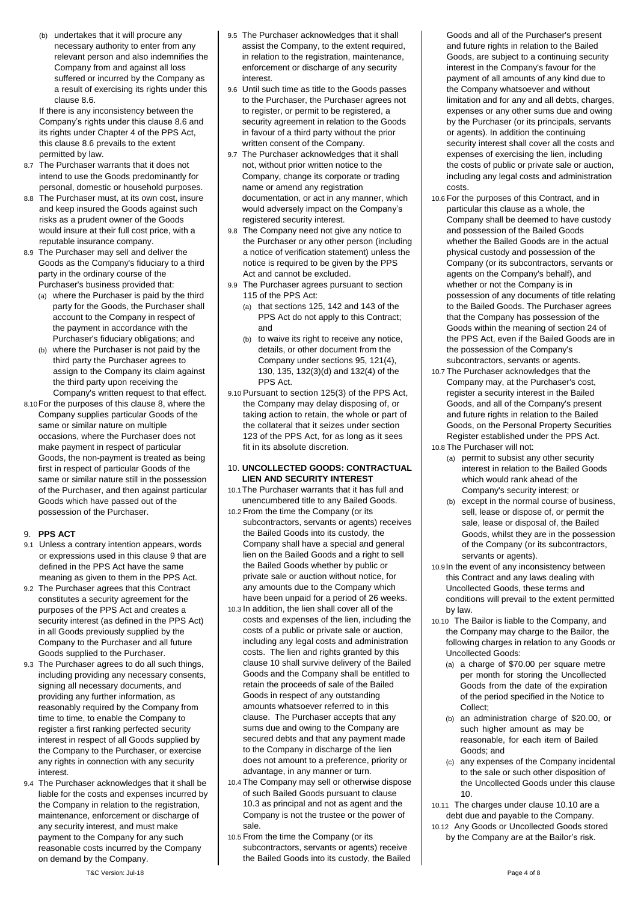(b) undertakes that it will procure any necessary authority to enter from any relevant person and also indemnifies the Company from and against all loss suffered or incurred by the Company as a result of exercising its rights under this clause [8.6.](#page-2-4)

If there is any inconsistency between the Company's rights under this claus[e 8.6](#page-2-4) and its rights under Chapter 4 of the PPS Act, this claus[e 8.6](#page-2-4) prevails to the extent permitted by law.

- 8.7 The Purchaser warrants that it does not intend to use the Goods predominantly for personal, domestic or household purposes.
- 8.8 The Purchaser must, at its own cost, insure and keep insured the Goods against such risks as a prudent owner of the Goods would insure at their full cost price, with a reputable insurance company.
- 8.9 The Purchaser may sell and deliver the Goods as the Company's fiduciary to a third party in the ordinary course of the Purchaser's business provided that:
	- (a) where the Purchaser is paid by the third party for the Goods, the Purchaser shall account to the Company in respect of the payment in accordance with the Purchaser's fiduciary obligations; and
	- (b) where the Purchaser is not paid by the third party the Purchaser agrees to assign to the Company its claim against the third party upon receiving the Company's written request to that effect.
- 8.10For the purposes of this claus[e 8,](#page-2-3) where the Company supplies particular Goods of the same or similar nature on multiple occasions, where the Purchaser does not make payment in respect of particular Goods, the non-payment is treated as being first in respect of particular Goods of the same or similar nature still in the possession of the Purchaser, and then against particular Goods which have passed out of the possession of the Purchaser.

## <span id="page-3-3"></span>9. **PPS ACT**

- 9.1 Unless a contrary intention appears, words or expressions used in this clause [9](#page-3-3) that are defined in the PPS Act have the same meaning as given to them in the PPS Act.
- 9.2 The Purchaser agrees that this Contract constitutes a security agreement for the purposes of the PPS Act and creates a security interest (as defined in the PPS Act) in all Goods previously supplied by the Company to the Purchaser and all future Goods supplied to the Purchaser.
- 9.3 The Purchaser agrees to do all such things, including providing any necessary consents, signing all necessary documents, and providing any further information, as reasonably required by the Company from time to time, to enable the Company to register a first ranking perfected security interest in respect of all Goods supplied by the Company to the Purchaser, or exercise any rights in connection with any security interest.
- 9.4 The Purchaser acknowledges that it shall be liable for the costs and expenses incurred by the Company in relation to the registration, maintenance, enforcement or discharge of any security interest, and must make payment to the Company for any such reasonable costs incurred by the Company on demand by the Company.
- 9.5 The Purchaser acknowledges that it shall assist the Company, to the extent required, in relation to the registration, maintenance, enforcement or discharge of any security interest.
- 9.6 Until such time as title to the Goods passes to the Purchaser, the Purchaser agrees not to register, or permit to be registered, a security agreement in relation to the Goods in favour of a third party without the prior written consent of the Company.
- 9.7 The Purchaser acknowledges that it shall not, without prior written notice to the Company, change its corporate or trading name or amend any registration documentation, or act in any manner, which would adversely impact on the Company's registered security interest.
- 9.8 The Company need not give any notice to the Purchaser or any other person (including a notice of verification statement) unless the notice is required to be given by the PPS Act and cannot be excluded.
- 9.9 The Purchaser agrees pursuant to section 115 of the PPS Act:
	- (a) that sections 125, 142 and 143 of the PPS Act do not apply to this Contract; and
	- (b) to waive its right to receive any notice, details, or other document from the Company under sections 95, 121(4), 130, 135, 132(3)(d) and 132(4) of the PPS Act.
- 9.10 Pursuant to section 125(3) of the PPS Act, the Company may delay disposing of, or taking action to retain, the whole or part of the collateral that it seizes under section 123 of the PPS Act, for as long as it sees fit in its absolute discretion.

### <span id="page-3-0"></span>10. **UNCOLLECTED GOODS: CONTRACTUAL LIEN AND SECURITY INTEREST**

- 10.1The Purchaser warrants that it has full and unencumbered title to any Bailed Goods.
- <span id="page-3-1"></span>10.2 From the time the Company (or its subcontractors, servants or agents) receives the Bailed Goods into its custody, the Company shall have a special and general lien on the Bailed Goods and a right to sell the Bailed Goods whether by public or private sale or auction without notice, for any amounts due to the Company which have been unpaid for a period of 26 weeks.
- <span id="page-3-4"></span>10.3 In addition, the lien shall cover all of the costs and expenses of the lien, including the costs of a public or private sale or auction, including any legal costs and administration costs. The lien and rights granted by this clause [10](#page-3-0) shall survive delivery of the Bailed Goods and the Company shall be entitled to retain the proceeds of sale of the Bailed Goods in respect of any outstanding amounts whatsoever referred to in this clause. The Purchaser accepts that any sums due and owing to the Company are secured debts and that any payment made to the Company in discharge of the lien does not amount to a preference, priority or advantage, in any manner or turn.
- <span id="page-3-2"></span>10.4 The Company may sell or otherwise dispose of such Bailed Goods pursuant to clause [10.3](#page-3-4) as principal and not as agent and the Company is not the trustee or the power of sale.
- 10.5 From the time the Company (or its subcontractors, servants or agents) receive the Bailed Goods into its custody, the Bailed
- Goods and all of the Purchaser's present and future rights in relation to the Bailed Goods, are subject to a continuing security interest in the Company's favour for the payment of all amounts of any kind due to the Company whatsoever and without limitation and for any and all debts, charges, expenses or any other sums due and owing by the Purchaser (or its principals, servants or agents). In addition the continuing security interest shall cover all the costs and expenses of exercising the lien, including the costs of public or private sale or auction, including any legal costs and administration costs.
- 10.6 For the purposes of this Contract, and in particular this clause as a whole, the Company shall be deemed to have custody and possession of the Bailed Goods whether the Bailed Goods are in the actual physical custody and possession of the Company (or its subcontractors, servants or agents on the Company's behalf), and whether or not the Company is in possession of any documents of title relating to the Bailed Goods. The Purchaser agrees that the Company has possession of the Goods within the meaning of section 24 of the PPS Act, even if the Bailed Goods are in the possession of the Company's subcontractors, servants or agents.
- 10.7 The Purchaser acknowledges that the Company may, at the Purchaser's cost, register a security interest in the Bailed Goods, and all of the Company's present and future rights in relation to the Bailed Goods, on the Personal Property Securities Register established under the PPS Act.
- 10.8 The Purchaser will not:
	- (a) permit to subsist any other security interest in relation to the Bailed Goods which would rank ahead of the Company's security interest; or
	- (b) except in the normal course of business, sell, lease or dispose of, or permit the sale, lease or disposal of, the Bailed Goods, whilst they are in the possession of the Company (or its subcontractors, servants or agents).
- 10.9In the event of any inconsistency between this Contract and any laws dealing with Uncollected Goods, these terms and conditions will prevail to the extent permitted by law.
- <span id="page-3-5"></span>10.10 The Bailor is liable to the Company, and the Company may charge to the Bailor, the following charges in relation to any Goods or Uncollected Goods:
	- (a) a charge of \$70.00 per square metre per month for storing the Uncollected Goods from the date of the expiration of the period specified in the Notice to Collect;
	- (b) an administration charge of \$20.00, or such higher amount as may be reasonable, for each item of Bailed Goods; and
	- (c) any expenses of the Company incidental to the sale or such other disposition of the Uncollected Goods under this clause [10.](#page-3-0)
- 10.11 The charges under clause [10.10](#page-3-5) are a debt due and payable to the Company.
- 10.12 Any Goods or Uncollected Goods stored by the Company are at the Bailor's risk.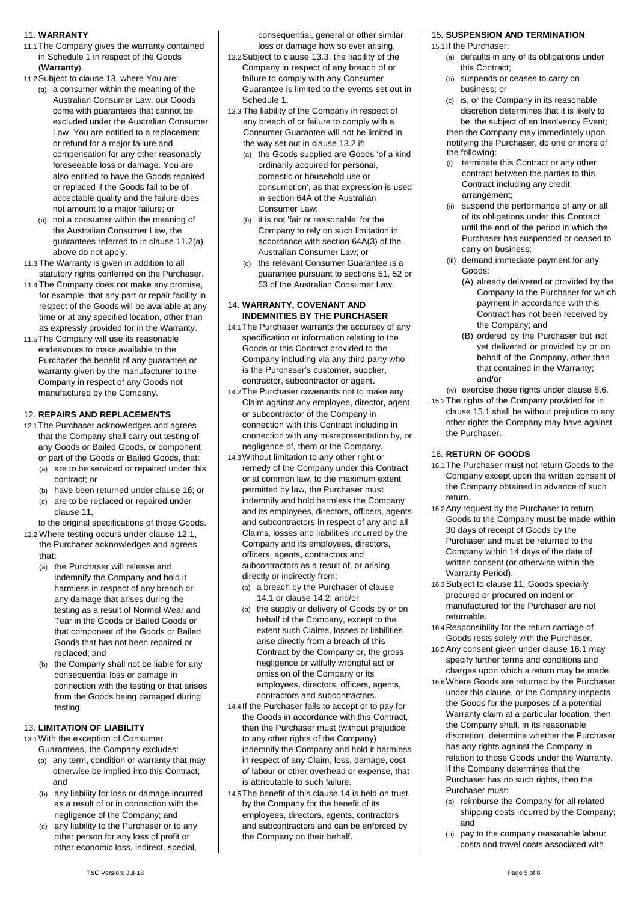### <span id="page-4-0"></span>11. **WARRANTY**

- 11.1The Company gives the warranty contained in Schedule 1 in respect of the Goods (**Warranty**).
- 11.2Subject to clause [13,](#page-4-1) where You are:
	- (a) a consumer within the meaning of the Australian Consumer Law, our Goods come with guarantees that cannot be excluded under the Australian Consumer Law. You are entitled to a replacement or refund for a major failure and compensation for any other reasonably foreseeable loss or damage. You are also entitled to have the Goods repaired or replaced if the Goods fail to be of acceptable quality and the failure does not amount to a major failure; or
	- (b) not a consumer within the meaning of the Australian Consumer Law, the guarantees referred to in clause 11.2(a) above do not apply.
- 11.3 The Warranty is given in addition to all statutory rights conferred on the Purchaser.
- 11.4 The Company does not make any promise, for example, that any part or repair facility in respect of the Goods will be available at any time or at any specified location, other than as expressly provided for in the Warranty.
- 11.5The Company will use its reasonable endeavours to make available to the Purchaser the benefit of any guarantee or warranty given by the manufacturer to the Company in respect of any Goods not manufactured by the Company.

### 12. **REPAIRS AND REPLACEMENTS**

- <span id="page-4-3"></span>12.1The Purchaser acknowledges and agrees that the Company shall carry out testing of any Goods or Bailed Goods, or component or part of the Goods or Bailed Goods, that: (a) are to be serviced or repaired under this
	- contract; or
	- (b) have been returned under clause [16;](#page-4-2) or (c) are to be replaced or repaired under clause [11,](#page-4-0)
	- to the original specifications of those Goods.
- 12.2 Where testing occurs under clause [12.1,](#page-4-3)  the Purchaser acknowledges and agrees that:
	- (a) the Purchaser will release and indemnify the Company and hold it harmless in respect of any breach or any damage that arises during the testing as a result of Normal Wear and Tear in the Goods or Bailed Goods or that component of the Goods or Bailed Goods that has not been repaired or replaced; and
	- (b) the Company shall not be liable for any consequential loss or damage in connection with the testing or that arises from the Goods being damaged during testing.

## <span id="page-4-1"></span>13. **LIMITATION OF LIABILITY**

- 13.1With the exception of Consumer
	- Guarantees, the Company excludes:
	- (a) any term, condition or warranty that may otherwise be implied into this Contract; and
	- (b) any liability for loss or damage incurred as a result of or in connection with the negligence of the Company; and
	- (c) any liability to the Purchaser or to any other person for any loss of profit or other economic loss, indirect, special,

consequential, general or other similar loss or damage how so ever arising.

- 13.2Subject to clause 13.3, the liability of the Company in respect of any breach of or failure to comply with any Consumer Guarantee is limited to the events set out in Schedule 1.
- 13.3 The liability of the Company in respect of any breach of or failure to comply with a Consumer Guarantee will not be limited in the way set out in clause 13.2 if:
	- (a) the Goods supplied are Goods 'of a kind ordinarily acquired for personal, domestic or household use or consumption', as that expression is used in section 64A of the Australian Consumer Law;
	- (b) it is not 'fair or reasonable' for the Company to rely on such limitation in accordance with section 64A(3) of the Australian Consumer Law; or
	- (c) the relevant Consumer Guarantee is a guarantee pursuant to sections 51, 52 or 53 of the Australian Consumer Law.

### <span id="page-4-6"></span>14. **WARRANTY, COVENANT AND INDEMNITIES BY THE PURCHASER**

- <span id="page-4-4"></span>14.1The Purchaser warrants the accuracy of any specification or information relating to the Goods or this Contract provided to the Company including via any third party who is the Purchaser's customer, supplier, contractor, subcontractor or agent.
- <span id="page-4-5"></span>14.2The Purchaser covenants not to make any Claim against any employee, director, agent or subcontractor of the Company in connection with this Contract including in connection with any misrepresentation by, or negligence of, them or the Company.
- 14.3Without limitation to any other right or remedy of the Company under this Contract or at common law, to the maximum extent permitted by law, the Purchaser must indemnify and hold harmless the Company and its employees, directors, officers, agents and subcontractors in respect of any and all Claims, losses and liabilities incurred by the Company and its employees, directors, officers, agents, contractors and subcontractors as a result of, or arising directly or indirectly from:
	- (a) a breach by the Purchaser of clause [14.1](#page-4-4) or claus[e 14.2;](#page-4-5) and/or
	- (b) the supply or delivery of Goods by or on behalf of the Company, except to the extent such Claims, losses or liabilities arise directly from a breach of this Contract by the Company or, the gross negligence or wilfully wrongful act or omission of the Company or its employees, directors, officers, agents, contractors and subcontractors.
- 14.4 If the Purchaser fails to accept or to pay for the Goods in accordance with this Contract, then the Purchaser must (without prejudice to any other rights of the Company) indemnify the Company and hold it harmless in respect of any Claim, loss, damage, cost of labour or other overhead or expense, that is attributable to such failure.
- 14.5The benefit of this clause [14](#page-4-6) is held on trust by the Company for the benefit of its employees, directors, agents, contractors and subcontractors and can be enforced by the Company on their behalf.

## 15. **SUSPENSION AND TERMINATION**

<span id="page-4-7"></span>15.1If the Purchaser:

- (a) defaults in any of its obligations under this Contract;
- (b) suspends or ceases to carry on business; or
- (c) is, or the Company in its reasonable discretion determines that it is likely to be, the subject of an Insolvency Event; then the Company may immediately upon notifying the Purchaser, do one or more of the following:
- (i) terminate this Contract or any other contract between the parties to this Contract including any credit arrangement;
- (ii) suspend the performance of any or all of its obligations under this Contract until the end of the period in which the Purchaser has suspended or ceased to carry on business;
- (iii) demand immediate payment for any Goods:
	- (A) already delivered or provided by the Company to the Purchaser for which payment in accordance with this Contract has not been received by the Company; and
	- (B) ordered by the Purchaser but not yet delivered or provided by or on behalf of the Company, other than that contained in the Warranty; and/or
- (iv) exercise those rights under clause [8.6.](#page-2-4)
- 15.2The rights of the Company provided for in claus[e 15.1](#page-4-7) shall be without prejudice to any other rights the Company may have against the Purchaser.

#### <span id="page-4-2"></span>16. **RETURN OF GOODS**

- <span id="page-4-8"></span>16.1The Purchaser must not return Goods to the Company except upon the written consent of the Company obtained in advance of such return.
- 16.2Any request by the Purchaser to return Goods to the Company must be made within 30 days of receipt of Goods by the Purchaser and must be returned to the Company within 14 days of the date of written consent (or otherwise within the Warranty Period).
- 16.3Subject to claus[e 11,](#page-4-0) Goods specially procured or procured on indent or manufactured for the Purchaser are not returnable.
- 16.4Responsibility for the return carriage of Goods rests solely with the Purchaser.
- 16.5Any consent given under clause [16.1](#page-4-8) may specify further terms and conditions and charges upon which a return may be made.
- 16.6Where Goods are returned by the Purchaser under this clause, or the Company inspects the Goods for the purposes of a potential Warranty claim at a particular location, then the Company shall, in its reasonable discretion, determine whether the Purchaser has any rights against the Company in relation to those Goods under the Warranty. If the Company determines that the Purchaser has no such rights, then the Purchaser must:
	- (a) reimburse the Company for all related shipping costs incurred by the Company; and
	- (b) pay to the company reasonable labour costs and travel costs associated with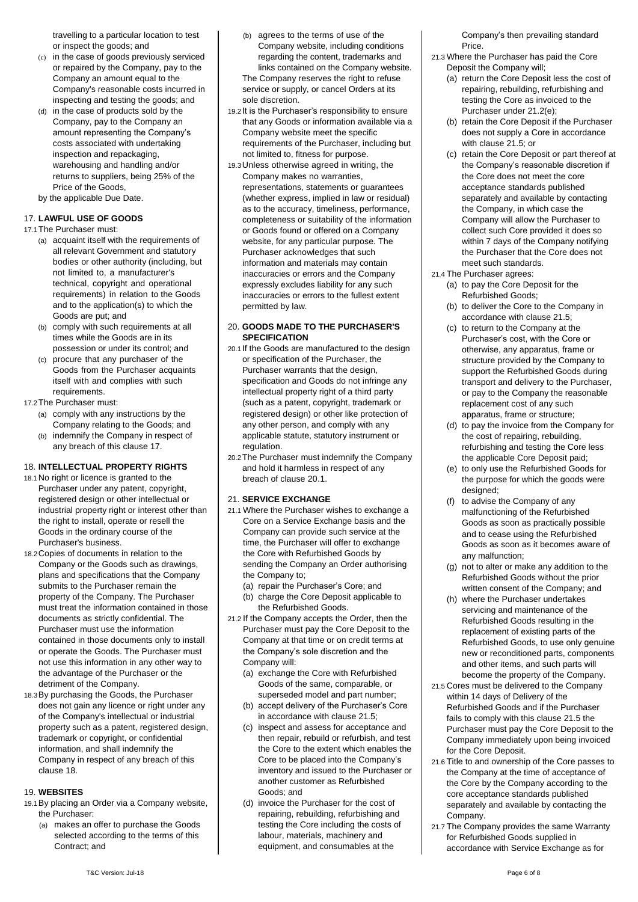travelling to a particular location to test or inspect the goods; and

- (c) in the case of goods previously serviced or repaired by the Company, pay to the Company an amount equal to the Company's reasonable costs incurred in inspecting and testing the goods; and
- (d) in the case of products sold by the Company, pay to the Company an amount representing the Company's costs associated with undertaking inspection and repackaging, warehousing and handling and/or returns to suppliers, being 25% of the Price of the Goods,
- by the applicable Due Date.

## <span id="page-5-0"></span>17. **LAWFUL USE OF GOODS**

- 17.1The Purchaser must:
	- (a) acquaint itself with the requirements of all relevant Government and statutory bodies or other authority (including, but not limited to, a manufacturer's technical, copyright and operational requirements) in relation to the Goods and to the application(s) to which the Goods are put; and
	- (b) comply with such requirements at all times while the Goods are in its possession or under its control; and
	- (c) procure that any purchaser of the Goods from the Purchaser acquaints itself with and complies with such requirements.
- 17.2The Purchaser must:
	- (a) comply with any instructions by the Company relating to the Goods; and
	- (b) indemnify the Company in respect of any breach of this claus[e 17.](#page-5-0)

## <span id="page-5-1"></span>18. **INTELLECTUAL PROPERTY RIGHTS**

- 18.1No right or licence is granted to the Purchaser under any patent, copyright, registered design or other intellectual or industrial property right or interest other than the right to install, operate or resell the Goods in the ordinary course of the Purchaser's business.
- 18.2Copies of documents in relation to the Company or the Goods such as drawings, plans and specifications that the Company submits to the Purchaser remain the property of the Company. The Purchaser must treat the information contained in those documents as strictly confidential. The Purchaser must use the information contained in those documents only to install or operate the Goods. The Purchaser must not use this information in any other way to the advantage of the Purchaser or the detriment of the Company.
- 18.3By purchasing the Goods, the Purchaser does not gain any licence or right under any of the Company's intellectual or industrial property such as a patent, registered design, trademark or copyright, or confidential information, and shall indemnify the Company in respect of any breach of this claus[e 18.](#page-5-1)

### 19. **WEBSITES**

- 19.1By placing an Order via a Company website, the Purchaser:
	- (a) makes an offer to purchase the Goods selected according to the terms of this Contract; and
- (b) agrees to the terms of use of the Company website, including conditions regarding the content, trademarks and links contained on the Company website. The Company reserves the right to refuse service or supply, or cancel Orders at its sole discretion.
- 19.2It is the Purchaser's responsibility to ensure that any Goods or information available via a Company website meet the specific requirements of the Purchaser, including but not limited to, fitness for purpose.
- 19.3Unless otherwise agreed in writing, the Company makes no warranties, representations, statements or guarantees (whether express, implied in law or residual) as to the accuracy, timeliness, performance, completeness or suitability of the information or Goods found or offered on a Company website, for any particular purpose. The Purchaser acknowledges that such information and materials may contain inaccuracies or errors and the Company expressly excludes liability for any such inaccuracies or errors to the fullest extent permitted by law.

### 20. **GOODS MADE TO THE PURCHASER'S SPECIFICATION**

- <span id="page-5-2"></span>20.1If the Goods are manufactured to the design or specification of the Purchaser, the Purchaser warrants that the design, specification and Goods do not infringe any intellectual property right of a third party (such as a patent, copyright, trademark or registered design) or other like protection of any other person, and comply with any applicable statute, statutory instrument or regulation.
- 20.2The Purchaser must indemnify the Company and hold it harmless in respect of any breach of clause [20.1.](#page-5-2)

## 21. **SERVICE EXCHANGE**

- 21.1 Where the Purchaser wishes to exchange a Core on a Service Exchange basis and the Company can provide such service at the time, the Purchaser will offer to exchange the Core with Refurbished Goods by sending the Company an Order authorising the Company to;
	- (a) repair the Purchaser's Core; and
	- (b) charge the Core Deposit applicable to the Refurbished Goods.
- 21.2 If the Company accepts the Order, then the Purchaser must pay the Core Deposit to the Company at that time or on credit terms at the Company's sole discretion and the Company will:
	- (a) exchange the Core with Refurbished Goods of the same, comparable, or superseded model and part number;
	- (b) accept delivery of the Purchaser's Core in accordance with clause 21.5;
	- (c) inspect and assess for acceptance and then repair, rebuild or refurbish, and test the Core to the extent which enables the Core to be placed into the Company's inventory and issued to the Purchaser or another customer as Refurbished Goods; and
	- (d) invoice the Purchaser for the cost of repairing, rebuilding, refurbishing and testing the Core including the costs of labour, materials, machinery and equipment, and consumables at the

Company's then prevailing standard Price.

- 21.3 Where the Purchaser has paid the Core Deposit the Company will;
	- (a) return the Core Deposit less the cost of repairing, rebuilding, refurbishing and testing the Core as invoiced to the Purchaser under 21.2(e);
	- (b) retain the Core Deposit if the Purchaser does not supply a Core in accordance with clause 21.5; or
	- (c) retain the Core Deposit or part thereof at the Company's reasonable discretion if the Core does not meet the core acceptance standards published separately and available by contacting the Company, in which case the Company will allow the Purchaser to collect such Core provided it does so within 7 days of the Company notifying the Purchaser that the Core does not meet such standards.
- 21.4 The Purchaser agrees:
	- (a) to pay the Core Deposit for the Refurbished Goods;
	- (b) to deliver the Core to the Company in accordance with clause 21.5;
	- (c) to return to the Company at the Purchaser's cost, with the Core or otherwise, any apparatus, frame or structure provided by the Company to support the Refurbished Goods during transport and delivery to the Purchaser, or pay to the Company the reasonable replacement cost of any such apparatus, frame or structure;
	- (d) to pay the invoice from the Company for the cost of repairing, rebuilding, refurbishing and testing the Core less the applicable Core Deposit paid;
	- (e) to only use the Refurbished Goods for the purpose for which the goods were designed:
	- (f) to advise the Company of any malfunctioning of the Refurbished Goods as soon as practically possible and to cease using the Refurbished Goods as soon as it becomes aware of any malfunction;
	- (g) not to alter or make any addition to the Refurbished Goods without the prior written consent of the Company; and
	- (h) where the Purchaser undertakes servicing and maintenance of the Refurbished Goods resulting in the replacement of existing parts of the Refurbished Goods, to use only genuine new or reconditioned parts, components and other items, and such parts will become the property of the Company.
- 21.5 Cores must be delivered to the Company within 14 days of Delivery of the Refurbished Goods and if the Purchaser fails to comply with this clause 21.5 the Purchaser must pay the Core Deposit to the Company immediately upon being invoiced for the Core Deposit.
- 21.6 Title to and ownership of the Core passes to the Company at the time of acceptance of the Core by the Company according to the core acceptance standards published separately and available by contacting the Company.
- 21.7 The Company provides the same Warranty for Refurbished Goods supplied in accordance with Service Exchange as for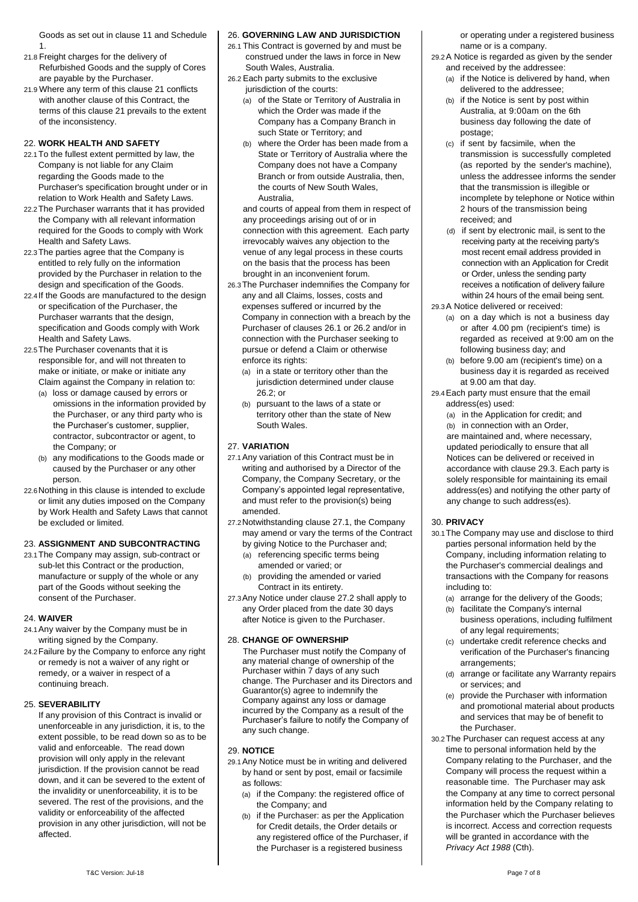Goods as set out in clause 11 and Schedule 1.

- 21.8 Freight charges for the delivery of Refurbished Goods and the supply of Cores are payable by the Purchaser.
- 21.9 Where any term of this clause 21 conflicts with another clause of this Contract, the terms of this clause 21 prevails to the extent of the inconsistency.

### 22. **WORK HEALTH AND SAFETY**

- 22.1To the fullest extent permitted by law, the Company is not liable for any Claim regarding the Goods made to the Purchaser's specification brought under or in relation to Work Health and Safety Laws.
- 22.2The Purchaser warrants that it has provided the Company with all relevant information required for the Goods to comply with Work Health and Safety Laws.
- 22.3The parties agree that the Company is entitled to rely fully on the information provided by the Purchaser in relation to the design and specification of the Goods.
- 22.4If the Goods are manufactured to the design or specification of the Purchaser, the Purchaser warrants that the design, specification and Goods comply with Work Health and Safety Laws.
- 22.5The Purchaser covenants that it is responsible for, and will not threaten to make or initiate, or make or initiate any Claim against the Company in relation to:
	- (a) loss or damage caused by errors or omissions in the information provided by the Purchaser, or any third party who is the Purchaser's customer, supplier, contractor, subcontractor or agent, to the Company; or
	- (b) any modifications to the Goods made or caused by the Purchaser or any other person.
- 22.6Nothing in this clause is intended to exclude or limit any duties imposed on the Company by Work Health and Safety Laws that cannot be excluded or limited.

## 23. **ASSIGNMENT AND SUBCONTRACTING**

23.1The Company may assign, sub-contract or sub-let this Contract or the production, manufacture or supply of the whole or any part of the Goods without seeking the consent of the Purchaser.

#### 24. **WAIVER**

- 24.1Any waiver by the Company must be in writing signed by the Company.
- 24.2Failure by the Company to enforce any right or remedy is not a waiver of any right or remedy, or a waiver in respect of a continuing breach.

## 25. **SEVERABILITY**

If any provision of this Contract is invalid or unenforceable in any jurisdiction, it is, to the extent possible, to be read down so as to be valid and enforceable. The read down provision will only apply in the relevant jurisdiction. If the provision cannot be read down, and it can be severed to the extent of the invalidity or unenforceability, it is to be severed. The rest of the provisions, and the validity or enforceability of the affected provision in any other jurisdiction, will not be affected.

### 26. **GOVERNING LAW AND JURISDICTION**

- <span id="page-6-2"></span>26.1 This Contract is governed by and must be construed under the laws in force in New South Wales, Australia.
- <span id="page-6-3"></span>26.2 Each party submits to the exclusive jurisdiction of the courts:
	- (a) of the State or Territory of Australia in which the Order was made if the Company has a Company Branch in such State or Territory; and
	- (b) where the Order has been made from a State or Territory of Australia where the Company does not have a Company Branch or from outside Australia, then, the courts of New South Wales, Australia,

and courts of appeal from them in respect of any proceedings arising out of or in connection with this agreement. Each party irrevocably waives any objection to the venue of any legal process in these courts on the basis that the process has been brought in an inconvenient forum.

- 26.3The Purchaser indemnifies the Company for any and all Claims, losses, costs and expenses suffered or incurred by the Company in connection with a breach by the Purchaser of clauses [26.1](#page-6-2) or [26.2](#page-6-3) and/or in connection with the Purchaser seeking to pursue or defend a Claim or otherwise enforce its rights:
	- (a) in a state or territory other than the jurisdiction determined under clause [26.2;](#page-6-3) or
	- (b) pursuant to the laws of a state or territory other than the state of New South Wales.

### 27. **VARIATION**

- <span id="page-6-1"></span>27.1Any variation of this Contract must be in writing and authorised by a Director of the Company, the Company Secretary, or the Company's appointed legal representative, and must refer to the provision(s) being amended.
- <span id="page-6-4"></span>27.2Notwithstanding claus[e 27.1,](#page-6-1) the Company may amend or vary the terms of the Contract
	- by giving Notice to the Purchaser and; (a) referencing specific terms being amended or varied; or
	- (b) providing the amended or varied Contract in its entirety.
- 27.3Any Notice under clause [27.2](#page-6-4) shall apply to any Order placed from the date 30 days after Notice is given to the Purchaser.

#### 28. **CHANGE OF OWNERSHIP**

The Purchaser must notify the Company of any material change of ownership of the Purchaser within 7 days of any such change. The Purchaser and its Directors and Guarantor(s) agree to indemnify the Company against any loss or damage incurred by the Company as a result of the Purchaser's failure to notify the Company of any such change.

#### <span id="page-6-0"></span>29. **NOTICE**

- 29.1Any Notice must be in writing and delivered by hand or sent by post, email or facsimile as follows:
	- (a) if the Company: the registered office of the Company; and
	- (b) if the Purchaser: as per the Application for Credit details, the Order details or any registered office of the Purchaser, if the Purchaser is a registered business

or operating under a registered business name or is a company.

- 29.2A Notice is regarded as given by the sender and received by the addressee:
	- (a) if the Notice is delivered by hand, when delivered to the addressee;
	- (b) if the Notice is sent by post within Australia, at 9:00am on the 6th business day following the date of postage;
	- (c) if sent by facsimile, when the transmission is successfully completed (as reported by the sender's machine), unless the addressee informs the sender that the transmission is illegible or incomplete by telephone or Notice within 2 hours of the transmission being received; and
	- (d) if sent by electronic mail, is sent to the receiving party at the receiving party's most recent email address provided in connection with an Application for Credit or Order, unless the sending party receives a notification of delivery failure within 24 hours of the email being sent.
- <span id="page-6-5"></span>29.3A Notice delivered or received:
	- (a) on a day which is not a business day or after 4.00 pm (recipient's time) is regarded as received at 9:00 am on the following business day; and
	- (b) before 9.00 am (recipient's time) on a business day it is regarded as received at 9.00 am that day.
- 29.4Each party must ensure that the email address(es) used:
	- (a) in the Application for credit; and
	- (b) in connection with an Order, are maintained and, where necessary, updated periodically to ensure that all Notices can be delivered or received in accordance with claus[e 29.3.](#page-6-5) Each party is solely responsible for maintaining its email address(es) and notifying the other party of any change to such address(es).

## 30. **PRIVACY**

- 30.1The Company may use and disclose to third parties personal information held by the Company, including information relating to the Purchaser's commercial dealings and transactions with the Company for reasons including to:
	- (a) arrange for the delivery of the Goods;
	- (b) facilitate the Company's internal business operations, including fulfilment of any legal requirements;
	- (c) undertake credit reference checks and verification of the Purchaser's financing arrangements;
	- (d) arrange or facilitate any Warranty repairs or services; and
	- (e) provide the Purchaser with information and promotional material about products and services that may be of benefit to the Purchaser.
- 30.2The Purchaser can request access at any time to personal information held by the Company relating to the Purchaser, and the Company will process the request within a reasonable time. The Purchaser may ask the Company at any time to correct personal information held by the Company relating to the Purchaser which the Purchaser believes is incorrect. Access and correction requests will be granted in accordance with the *Privacy Act 1988* (Cth).